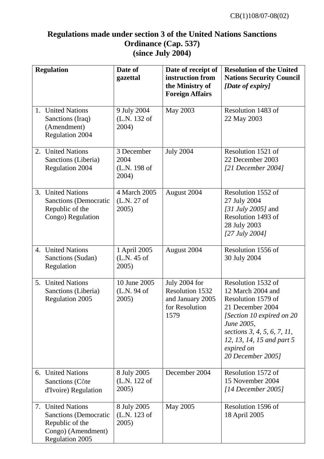## **Regulations made under section 3 of the United Nations Sanctions Ordinance (Cap. 537) (since July 2004)**

| <b>Regulation</b> |                                                                                                                      | Date of<br>gazettal                         | Date of receipt of<br>instruction from<br>the Ministry of<br><b>Foreign Affairs</b>   | <b>Resolution of the United</b><br><b>Nations Security Council</b><br>[Date of expiry]                                                                                                                                       |
|-------------------|----------------------------------------------------------------------------------------------------------------------|---------------------------------------------|---------------------------------------------------------------------------------------|------------------------------------------------------------------------------------------------------------------------------------------------------------------------------------------------------------------------------|
|                   | 1. United Nations<br>Sanctions (Iraq)<br>(Amendment)<br><b>Regulation 2004</b>                                       | 9 July 2004<br>(L.N. 132 of<br>2004)        | May 2003                                                                              | Resolution 1483 of<br>22 May 2003                                                                                                                                                                                            |
|                   | 2. United Nations<br>Sanctions (Liberia)<br><b>Regulation 2004</b>                                                   | 3 December<br>2004<br>(L.N. 198 of<br>2004) | <b>July 2004</b>                                                                      | Resolution 1521 of<br>22 December 2003<br>[21 December 2004]                                                                                                                                                                 |
|                   | 3. United Nations<br><b>Sanctions</b> (Democratic<br>Republic of the<br>Congo) Regulation                            | 4 March 2005<br>(L.N. 27 of<br>2005)        | August 2004                                                                           | Resolution 1552 of<br>27 July 2004<br>[31 July 2005] and<br>Resolution 1493 of<br>28 July 2003<br>$[27 \text{ July } 2004]$                                                                                                  |
|                   | 4. United Nations<br>Sanctions (Sudan)<br>Regulation                                                                 | 1 April 2005<br>(L.N. 45 of<br>2005)        | August 2004                                                                           | Resolution 1556 of<br>30 July 2004                                                                                                                                                                                           |
| 5.                | <b>United Nations</b><br>Sanctions (Liberia)<br>Regulation 2005                                                      | 10 June 2005<br>(L.N. 94 of<br>2005)        | July 2004 for<br><b>Resolution 1532</b><br>and January 2005<br>for Resolution<br>1579 | Resolution 1532 of<br>12 March 2004 and<br>Resolution 1579 of<br>21 December 2004<br>[Section 10 expired on 20]<br>June 2005,<br>sections 3, 4, 5, 6, 7, 11,<br>12, 13, 14, 15 and part 5<br>expired on<br>20 December 2005] |
|                   | 6. United Nations<br>Sanctions (Côte<br>d'Ivoire) Regulation                                                         | 8 July 2005<br>(L.N. 122 of<br>2005)        | December 2004                                                                         | Resolution 1572 of<br>15 November 2004<br>[14 December 2005]                                                                                                                                                                 |
|                   | 7. United Nations<br><b>Sanctions</b> (Democratic<br>Republic of the<br>Congo) (Amendment)<br><b>Regulation 2005</b> | 8 July 2005<br>(L.N. 123 of<br>2005)        | May 2005                                                                              | Resolution 1596 of<br>18 April 2005                                                                                                                                                                                          |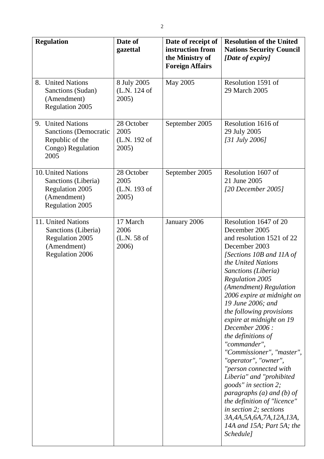| <b>Regulation</b>                                                                                            | Date of<br>gazettal                         | Date of receipt of<br>instruction from<br>the Ministry of<br><b>Foreign Affairs</b> | <b>Resolution of the United</b><br><b>Nations Security Council</b><br>[Date of expiry]                                                                                                                                                                                                                                                                                                                                                                                                                                                                                                                                                                                                    |
|--------------------------------------------------------------------------------------------------------------|---------------------------------------------|-------------------------------------------------------------------------------------|-------------------------------------------------------------------------------------------------------------------------------------------------------------------------------------------------------------------------------------------------------------------------------------------------------------------------------------------------------------------------------------------------------------------------------------------------------------------------------------------------------------------------------------------------------------------------------------------------------------------------------------------------------------------------------------------|
| 8. United Nations<br>Sanctions (Sudan)<br>(Amendment)<br><b>Regulation 2005</b>                              | 8 July 2005<br>(L.N. 124 of<br>$2005$ )     | May 2005                                                                            | Resolution 1591 of<br>29 March 2005                                                                                                                                                                                                                                                                                                                                                                                                                                                                                                                                                                                                                                                       |
| 9. United Nations<br><b>Sanctions</b> (Democratic<br>Republic of the<br>Congo) Regulation<br>2005            | 28 October<br>2005<br>(L.N. 192 of<br>2005) | September 2005                                                                      | Resolution 1616 of<br>29 July 2005<br>[31 July 2006]                                                                                                                                                                                                                                                                                                                                                                                                                                                                                                                                                                                                                                      |
| 10. United Nations<br>Sanctions (Liberia)<br><b>Regulation 2005</b><br>(Amendment)<br><b>Regulation 2005</b> | 28 October<br>2005<br>(L.N. 193 of<br>2005) | September 2005                                                                      | Resolution 1607 of<br>21 June 2005<br>$[20$ December 2005]                                                                                                                                                                                                                                                                                                                                                                                                                                                                                                                                                                                                                                |
| 11. United Nations<br>Sanctions (Liberia)<br><b>Regulation 2005</b><br>(Amendment)<br>Regulation 2006        | 17 March<br>2006<br>(L.N. 58 of<br>2006)    | January 2006                                                                        | Resolution 1647 of 20<br>December 2005<br>and resolution 1521 of 22<br>December 2003<br>[Sections 10B and 11A of<br>the United Nations<br>Sanctions (Liberia)<br><b>Regulation 2005</b><br>(Amendment) Regulation<br>2006 expire at midnight on<br>19 June 2006; and<br>the following provisions<br>expire at midnight on 19<br>December 2006 :<br>the definitions of<br>"commander",<br>"Commissioner", "master",<br>"operator", "owner",<br>"person connected with<br>Liberia" and "prohibited<br>goods" in section 2;<br>paragraphs (a) and (b) of<br>the definition of "licence"<br>in section 2; sections<br>3A, 4A, 5A, 6A, 7A, 12A, 13A,<br>14A and 15A; Part 5A; the<br>Schedule] |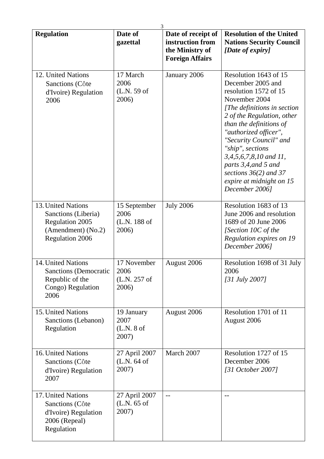| <b>Regulation</b>                                                                                            | Date of<br>gazettal                           | 3<br>Date of receipt of<br>instruction from<br>the Ministry of<br><b>Foreign Affairs</b> | <b>Resolution of the United</b><br><b>Nations Security Council</b><br>[Date of expiry]                                                                                                                                                                                                                                                                                         |
|--------------------------------------------------------------------------------------------------------------|-----------------------------------------------|------------------------------------------------------------------------------------------|--------------------------------------------------------------------------------------------------------------------------------------------------------------------------------------------------------------------------------------------------------------------------------------------------------------------------------------------------------------------------------|
| 12. United Nations<br>Sanctions (Côte<br>d'Ivoire) Regulation<br>2006                                        | 17 March<br>2006<br>(L.N. 59 of<br>2006)      | January 2006                                                                             | Resolution 1643 of 15<br>December 2005 and<br>resolution 1572 of 15<br>November 2004<br>[The definitions in section<br>2 of the Regulation, other<br>than the definitions of<br>"authorized officer",<br>"Security Council" and<br>"ship", sections<br>3,4,5,6,7,8,10 and 11,<br>parts 3,4, and 5 and<br>sections $36(2)$ and 37<br>expire at midnight on 15<br>December 2006] |
| 13. United Nations<br>Sanctions (Liberia)<br><b>Regulation 2005</b><br>(Amendment) (No.2)<br>Regulation 2006 | 15 September<br>2006<br>(L.N. 188 of<br>2006) | <b>July 2006</b>                                                                         | Resolution 1683 of 13<br>June 2006 and resolution<br>1689 of 20 June 2006<br>[Section 10C of the<br>Regulation expires on 19<br>December 2006]                                                                                                                                                                                                                                 |
| 14. United Nations<br><b>Sanctions (Democratic</b><br>Republic of the<br>Congo) Regulation<br>2006           | 17 November<br>2006<br>(L.N. 257 of<br>2006)  | August 2006                                                                              | Resolution 1698 of 31 July<br>2006<br>$[31 \text{ July } 2007]$                                                                                                                                                                                                                                                                                                                |
| 15. United Nations<br>Sanctions (Lebanon)<br>Regulation                                                      | 19 January<br>2007<br>(L.N. 8 of<br>2007)     | August 2006                                                                              | Resolution 1701 of 11<br>August 2006                                                                                                                                                                                                                                                                                                                                           |
| 16. United Nations<br>Sanctions (Côte<br>d'Ivoire) Regulation<br>2007                                        | 27 April 2007<br>(L.N. 64 of<br>2007)         | March 2007                                                                               | Resolution 1727 of 15<br>December 2006<br>[31 October 2007]                                                                                                                                                                                                                                                                                                                    |
| 17. United Nations<br>Sanctions (Côte<br>d'Ivoire) Regulation<br>2006 (Repeal)<br>Regulation                 | 27 April 2007<br>$(L.N. 65$ of<br>2007)       | $-$                                                                                      |                                                                                                                                                                                                                                                                                                                                                                                |